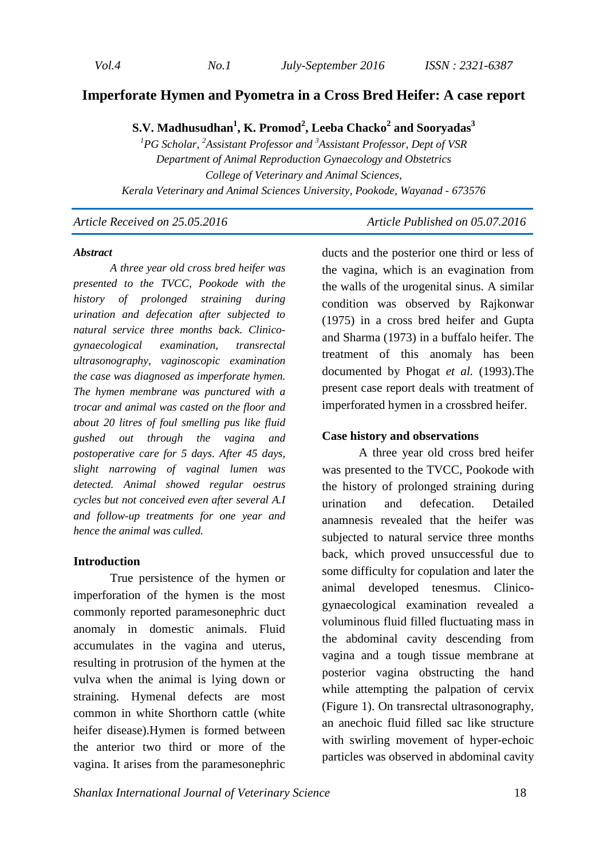*Vol.4 No.1 July-September 2016 ISSN : 2321-6387* 

# **Imperforate Hymen and Pyometra in a Cross Bred Heifer: A case report**

**S.V. Madhusudhan<sup>1</sup> , K. Promod<sup>2</sup> , Leeba Chacko<sup>2</sup> and Sooryadas<sup>3</sup>**

*<sup>1</sup>PG Scholar, <sup>2</sup>Assistant Professor and <sup>3</sup>Assistant Professor, Dept of VSR Department of Animal Reproduction Gynaecology and Obstetrics College of Veterinary and Animal Sciences, Kerala Veterinary and Animal Sciences University, Pookode, Wayanad - 673576* 

*Article Received on 25.05.2016 Article Published on 05.07.2016* 

#### *Abstract*

*A three year old cross bred heifer was presented to the TVCC, Pookode with the history of prolonged straining during urination and defecation after subjected to natural service three months back. Clinicogynaecological examination, transrectal ultrasonography, vaginoscopic examination the case was diagnosed as imperforate hymen. The hymen membrane was punctured with a trocar and animal was casted on the floor and about 20 litres of foul smelling pus like fluid gushed out through the vagina and postoperative care for 5 days. After 45 days, slight narrowing of vaginal lumen was detected. Animal showed regular oestrus cycles but not conceived even after several A.I and follow-up treatments for one year and hence the animal was culled.* 

#### **Introduction**

True persistence of the hymen or imperforation of the hymen is the most commonly reported paramesonephric duct anomaly in domestic animals. Fluid accumulates in the vagina and uterus, resulting in protrusion of the hymen at the vulva when the animal is lying down or straining. Hymenal defects are most common in white Shorthorn cattle (white heifer disease).Hymen is formed between the anterior two third or more of the vagina. It arises from the paramesonephric

ducts and the posterior one third or less of the vagina, which is an evagination from the walls of the urogenital sinus. A similar condition was observed by Rajkonwar (1975) in a cross bred heifer and Gupta and Sharma (1973) in a buffalo heifer. The treatment of this anomaly has been documented by Phogat *et al.* (1993).The present case report deals with treatment of imperforated hymen in a crossbred heifer.

### **Case history and observations**

A three year old cross bred heifer was presented to the TVCC, Pookode with the history of prolonged straining during urination and defecation. Detailed anamnesis revealed that the heifer was subjected to natural service three months back, which proved unsuccessful due to some difficulty for copulation and later the animal developed tenesmus. Clinicogynaecological examination revealed a voluminous fluid filled fluctuating mass in the abdominal cavity descending from vagina and a tough tissue membrane at posterior vagina obstructing the hand while attempting the palpation of cervix (Figure 1). On transrectal ultrasonography, an anechoic fluid filled sac like structure with swirling movement of hyper-echoic particles was observed in abdominal cavity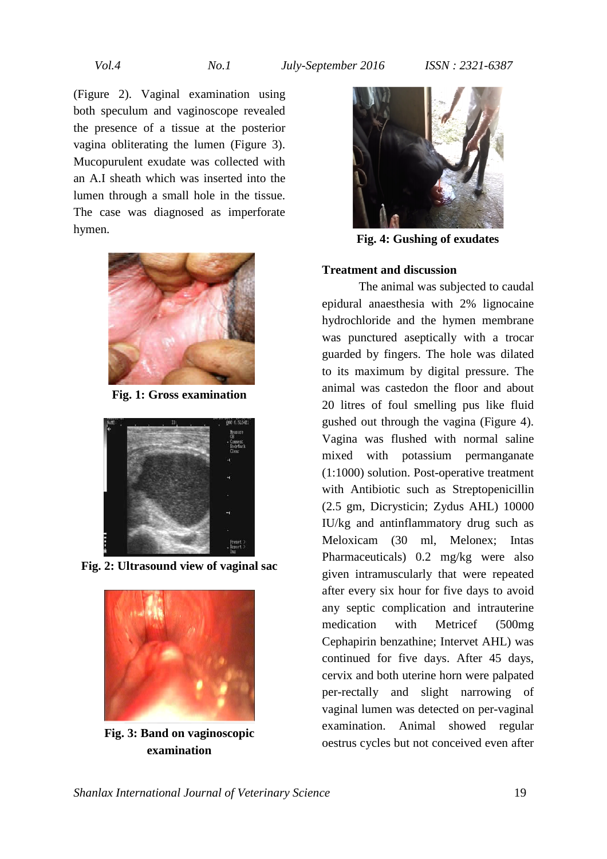(Figure 2). Vaginal examination using both speculum and vaginoscope revealed the presence of a tissue at the posterior vagina obliterating the lumen (Figure 3). Mucopurulent exudate was collected with an A.I sheath which was inserted into the lumen through a small hole in the tissue. The case was diagnosed as imperforate hymen.



**Fig. 1: Gross examination** 



**Fig. 2: Ultrasound view of vaginal sac** 



**Fig. 3: Band on vaginoscopic examination** 



**Fig. 4: Gushing of exudates** 

### **Treatment and discussion**

The animal was subjected to caudal epidural anaesthesia with 2% lignocaine hydrochloride and the hymen membrane was punctured aseptically with a trocar guarded by fingers. The hole was dilated to its maximum by digital pressure. The animal was castedon the floor and about 20 litres of foul smelling pus like fluid gushed out through the vagina (Figure 4). Vagina was flushed with normal saline mixed with potassium permanganate (1:1000) solution. Post-operative treatment with Antibiotic such as Streptopenicillin (2.5 gm, Dicrysticin; Zydus AHL) 10000 IU/kg and antinflammatory drug such as Meloxicam (30 ml, Melonex; Intas Pharmaceuticals) 0.2 mg/kg were also given intramuscularly that were repeated after every six hour for five days to avoid any septic complication and intrauterine medication with Metricef (500mg Cephapirin benzathine; Intervet AHL) was continued for five days. After 45 days, cervix and both uterine horn were palpated per-rectally and slight narrowing of vaginal lumen was detected on per-vaginal examination. Animal showed regular oestrus cycles but not conceived even after